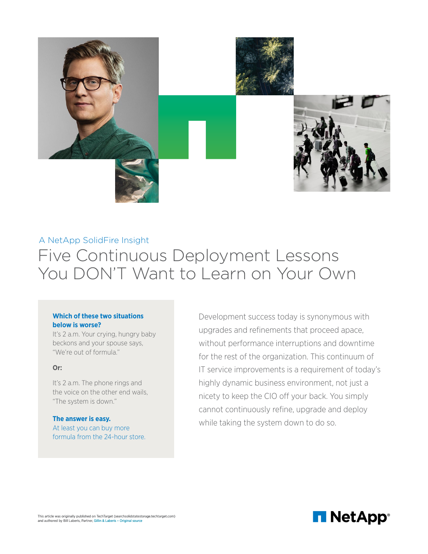

# A NetApp SolidFire Insight Five Continuous Deployment Lessons You DON'T Want to Learn on Your Own

## **Which of these two situations below is worse?**

It's 2 a.m. Your crying, hungry baby beckons and your spouse says, "We're out of formula."

## **Or:**

It's 2 a.m. The phone rings and the voice on the other end wails, "The system is down."

# **The answer is easy.**

At least you can buy more formula from the 24-hour store.

**EXALL ADVERT CONSTRANGO THE SECTUAR CONSTRANGO THE SECTUAR CONSTRANGO THE PROPERTY CONSTRANGO THE PROPERTY OF SURFRESS AND SURFRESS AND SURFRESS AND SURFRESS AND SURFRESS AND SURFRESS AND SURFRESS AND SURFRESS AND SURFRES** upgrades and refinements that proceed apace, without performance interruptions and downtime for the rest of the organization. This continuum of IT service improvements is a requirement of today's highly dynamic business environment, not just a nicety to keep the CIO off your back. You simply cannot continuously refine, upgrade and deploy while taking the system down to do so.